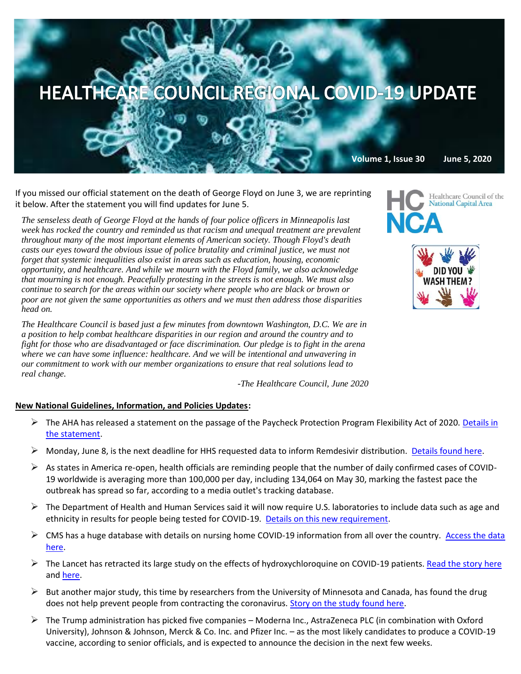

**Volume 1, Issue 30 June 5, 2020**

If you missed our official statement on the death of George Floyd on June 3, we are reprinting it below. After the statement you will find updates for June 5.

*The senseless death of George Floyd at the hands of four police officers in Minneapolis last week has rocked the country and reminded us that racism and unequal treatment are prevalent throughout many of the most important elements of American society. Though Floyd's death casts our eyes toward the obvious issue of police brutality and criminal justice, we must not forget that systemic inequalities also exist in areas such as education, housing, economic opportunity, and healthcare. And while we mourn with the Floyd family, we also acknowledge that mourning is not enough. Peacefully protesting in the streets is not enough. We must also continue to search for the areas within our society where people who are black or brown or poor are not given the same opportunities as others and we must then address those disparities head on.*

*The Healthcare Council is based just a few minutes from downtown Washington, D.C. We are in a position to help combat healthcare disparities in our region and around the country and to fight for those who are disadvantaged or face discrimination. Our pledge is to fight in the arena where we can have some influence: healthcare. And we will be intentional and unwavering in our commitment to work with our member organizations to ensure that real solutions lead to real change.*

*-The Healthcare Council, June 2020*

#### **New National Guidelines, Information, and Policies Updates:**

- $\triangleright$  The AHA has released a statement on the passage of the Paycheck Protection Program Flexibility Act of 2020. Details in [the statement.](https://contentsharing.net/actions/email_web_version.cfm?ep=Bdhtp-zVuqFkgQiV6-lxty0f-nrLBJWzuTngPvD-5dVrFxlyWWFVBRJ7TjbbKQCk2uqDbjQ_-nKUNU10cQnrB6h9UAyF9cMVitW20Ois6m4jBYotqp8znmaN8RieDV8Z)
- $\triangleright$  Monday, June 8, is the next deadline for HHS requested data to inform Remdesivir distribution. [Details found here.](https://contentsharing.net/actions/email_web_version.cfm?ep=Bdhtp-zVuqFkgQiV6-lxty0f-nrLBJWzuTngPvD-5dWGks4eyNBHBJlXyTMs-MsZTzWhiJjpj9AQ0sDLY0LE493tVvicwmeQprkXne1A0GcipgErWW0c7sWwQNBPY8HA)
- $\triangleright$  As states in America re-open, health officials are reminding people that the number of daily confirmed cases of COVID-19 worldwide is averaging more than 100,000 per day, including 134,064 on May 30, marking the fastest pace the outbreak has spread so far, according to a media outlet's tracking database.
- $\triangleright$  The Department of Health and Human Services said it will now require U.S. laboratories to include data such as age and ethnicity in results for people being tested for COVID-19. [Details on this new requirement.](https://www.reuters.com/article/us-health-coronavirus-usa-testing/u-s-health-department-asks-labs-to-add-demographic-data-to-covid-19-results-idUSKBN23B2WX?mkt_tok=eyJpIjoiTWpJMlptWTVZelV6TURkaSIsInQiOiJHXC8wYVZFbzFIU25hWjFHa0xncjZBZ0RHZHRtUzJpbmZSdzBEVVhpNjFiN2xLMUdLN2NLTnVaV0k0N29abW11WlVnb21TN3IyMUc3R1NidGZkS0l2ZU5peUpUVStyVDNMOCtIS1VcL2VCYkdNaXJ2dU4yVnpmOXZMWTJJSFREQ251In0=)
- $\triangleright$  CMS has a huge database with details on nursing home COVID-19 information from all over the country. Access the data [here.](https://data.cms.gov/stories/s/COVID-19-Nursing-Home-Data/bkwz-xpvg)
- $\triangleright$  The Lancet has retracted its large study on the effects of hydroxychloroquine on COVID-19 patients[. Read the story here](https://www.nbcnews.com/health/health-news/lancet-retracts-large-study-hydroxychloroquine-n1225091) and [here.](https://amp.theguardian.com/world/2020/jun/03/covid-19-surgisphere-who-world-health-organization-hydroxychloroquine?mkt_tok=eyJpIjoiT0dRMk1qRTBabU15TVRJeCIsInQiOiJ0ekVlUGZZU0ZXU2FkOVwvanRYNlJTdXFCbG1ERFhaTFZaa2QxWVRjMGVBS3l1aUNIVVZySDZ1ZlE2bzhnNEJrejdcL0EwUHdiZEUzY05mSUFiMWxBN1hkQ1VBXC8xdkg1WUVGRkw1anplNnpDVFBnOWVvcVkydldFYTZZb1pseFA0YyJ9)
- $\triangleright$  But another major study, this time by researchers from the University of Minnesota and Canada, has found the drug does not help prevent people from contracting the coronavirus. [Story on the study found here.](https://www.nytimes.com/2020/06/03/health/hydroxychloroquine-coronavirus-trump.html?mkt_tok=eyJpIjoiTWpZM1ltVmtOMlpqWXpobCIsInQiOiJJWWlES3JUNXlCSDNFV0FDZWtvdTU0TUVRU0VOdjlnZVwvY0dEXC9MTHY4eDFoOWZGVDROaFpXbUJjRUI3XC9kYWgxQm9ZN0xOd3kybGpBMnFcL3oxdHROdW01RFo1RmZURjhwQ0pqc0pPZnJhaW9ZRlJKYVgwUGpMczRsTURoTk1kanUifQ==)
- $\triangleright$  The Trump administration has picked five companies Moderna Inc., AstraZeneca PLC (in combination with Oxford University), Johnson & Johnson, Merck & Co. Inc. and Pfizer Inc. – as the most likely candidates to produce a COVID-19 vaccine, according to senior officials, and is expected to announce the decision in the next few weeks.